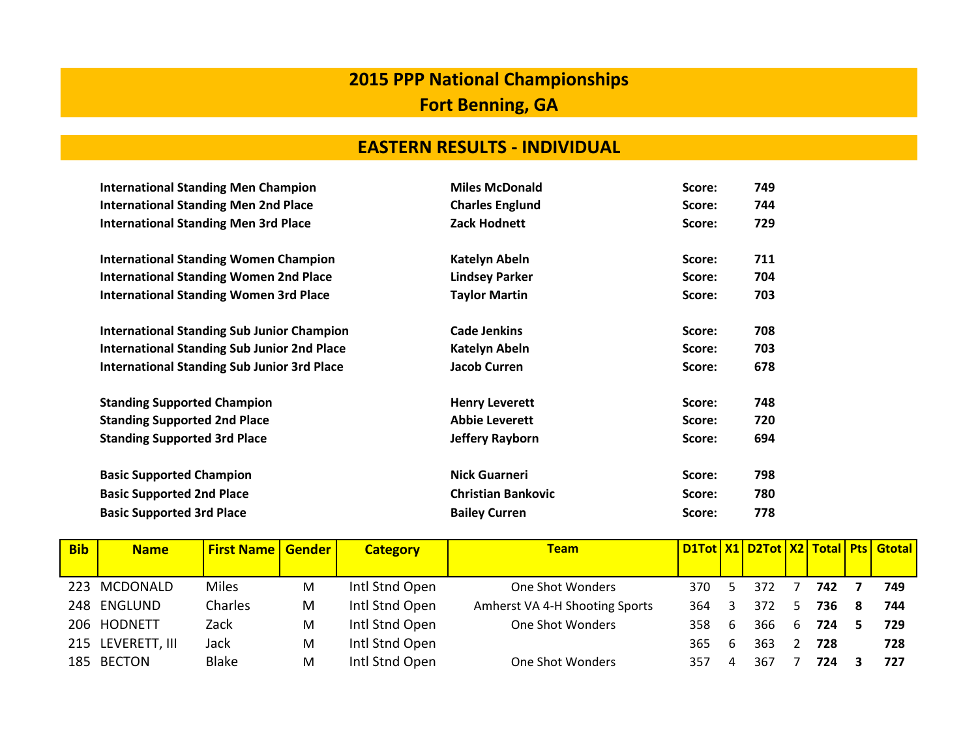## **2015 PPP National Championships Fort Benning, GA**

## **EASTERN RESULTS - INDIVIDUAL**

| <b>International Standing Men Champion</b>         | <b>Miles McDonald</b>     | Score: | 749 |
|----------------------------------------------------|---------------------------|--------|-----|
| <b>International Standing Men 2nd Place</b>        | <b>Charles Englund</b>    | Score: | 744 |
| <b>International Standing Men 3rd Place</b>        | Zack Hodnett              | Score: | 729 |
|                                                    |                           |        |     |
| <b>International Standing Women Champion</b>       | Katelyn Abeln             | Score: | 711 |
| <b>International Standing Women 2nd Place</b>      | <b>Lindsey Parker</b>     | Score: | 704 |
| <b>International Standing Women 3rd Place</b>      | <b>Taylor Martin</b>      | Score: | 703 |
| <b>International Standing Sub Junior Champion</b>  | <b>Cade Jenkins</b>       | Score: | 708 |
|                                                    |                           |        |     |
| <b>International Standing Sub Junior 2nd Place</b> | Katelyn Abeln             | Score: | 703 |
| <b>International Standing Sub Junior 3rd Place</b> | <b>Jacob Curren</b>       | Score: | 678 |
| <b>Standing Supported Champion</b>                 | <b>Henry Leverett</b>     | Score: | 748 |
| <b>Standing Supported 2nd Place</b>                | <b>Abbie Leverett</b>     | Score: | 720 |
| <b>Standing Supported 3rd Place</b>                | Jeffery Rayborn           | Score: | 694 |
| <b>Basic Supported Champion</b>                    | <b>Nick Guarneri</b>      | Score: | 798 |
|                                                    |                           |        |     |
| <b>Basic Supported 2nd Place</b>                   | <b>Christian Bankovic</b> | Score: | 780 |
| <b>Basic Supported 3rd Place</b>                   | <b>Bailey Curren</b>      | Score: | 778 |

| <b>Bib</b> | <b>Name</b>       | <b>First Name   Gender  </b> |   | <b>Category</b> | <b>Team</b>                    |     |   |      |    |     |   | D1Tot   X1   D2Tot   X2   Total   Pts   Gtotal |
|------------|-------------------|------------------------------|---|-----------------|--------------------------------|-----|---|------|----|-----|---|------------------------------------------------|
|            |                   |                              |   |                 |                                |     |   |      |    |     |   |                                                |
|            | 223 MCDONALD      | <b>Miles</b>                 | M | Intl Stnd Open  | One Shot Wonders               | 370 |   | 372  |    | 742 |   | 749                                            |
|            | 248 ENGLUND       | Charles                      | М | Intl Stnd Open  | Amherst VA 4-H Shooting Sports | 364 |   | 372  | 5. | 736 | 8 | 744                                            |
|            | 206 HODNETT       | Zack                         | M | Intl Stnd Open  | One Shot Wonders               | 358 | 6 | 366. | 6  | 724 |   | 729                                            |
|            | 215 LEVERETT, III | Jack                         | M | Intl Stnd Open  |                                | 365 | b | 363  |    | 728 |   | 728                                            |
| 185.       | <b>BECTON</b>     | <b>Blake</b>                 | М | Intl Stnd Open  | One Shot Wonders               | 357 |   | 367  |    | 724 |   | 727                                            |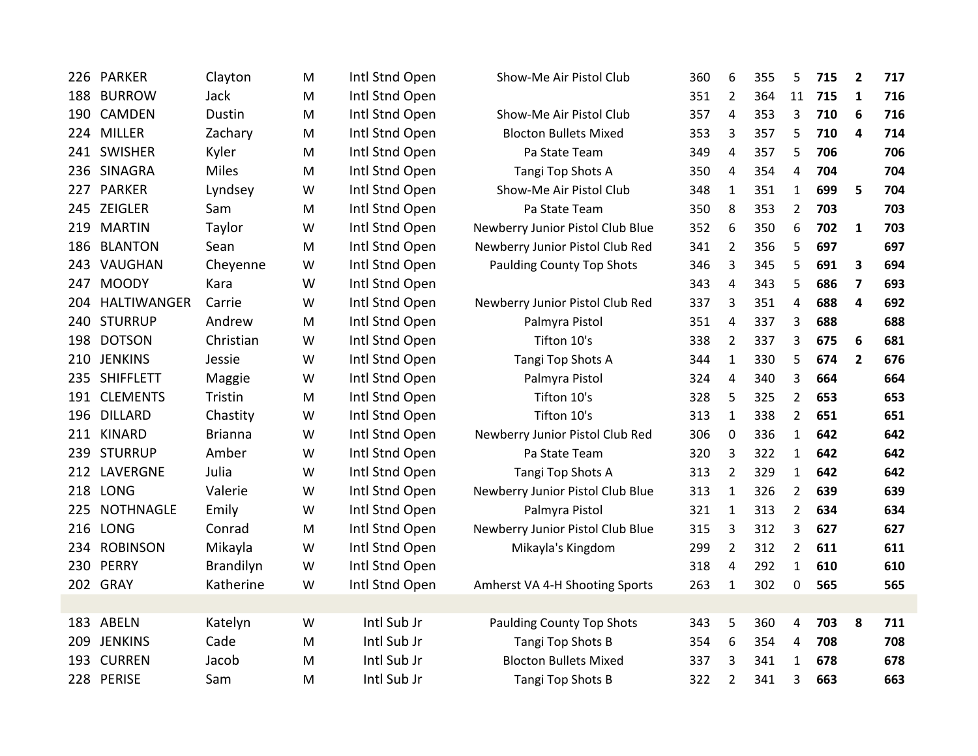| 226 | PARKER           | Clayton        | M | Intl Stnd Open | Show-Me Air Pistol Club          | 360 | 6              | 355 | 5              | 715 | $\overline{2}$ | 717 |
|-----|------------------|----------------|---|----------------|----------------------------------|-----|----------------|-----|----------------|-----|----------------|-----|
| 188 | <b>BURROW</b>    | Jack           | M | Intl Stnd Open |                                  | 351 | $\overline{2}$ | 364 | 11             | 715 | 1              | 716 |
| 190 | <b>CAMDEN</b>    | Dustin         | M | Intl Stnd Open | Show-Me Air Pistol Club          | 357 | $\overline{4}$ | 353 | 3              | 710 | 6              | 716 |
| 224 | <b>MILLER</b>    | Zachary        | M | Intl Stnd Open | <b>Blocton Bullets Mixed</b>     | 353 | 3              | 357 | 5              | 710 | 4              | 714 |
|     | 241 SWISHER      | Kyler          | M | Intl Stnd Open | Pa State Team                    | 349 | $\overline{4}$ | 357 | 5              | 706 |                | 706 |
|     | 236 SINAGRA      | <b>Miles</b>   | M | Intl Stnd Open | Tangi Top Shots A                | 350 | $\overline{4}$ | 354 | 4              | 704 |                | 704 |
|     | 227 PARKER       | Lyndsey        | W | Intl Stnd Open | Show-Me Air Pistol Club          | 348 | $\mathbf{1}$   | 351 | $\mathbf{1}$   | 699 | 5              | 704 |
|     | 245 ZEIGLER      | Sam            | M | Intl Stnd Open | Pa State Team                    | 350 | 8              | 353 | 2              | 703 |                | 703 |
|     | 219 MARTIN       | Taylor         | W | Intl Stnd Open | Newberry Junior Pistol Club Blue | 352 | 6              | 350 | 6              | 702 | $\mathbf{1}$   | 703 |
|     | 186 BLANTON      | Sean           | M | Intl Stnd Open | Newberry Junior Pistol Club Red  | 341 | $\overline{2}$ | 356 | 5              | 697 |                | 697 |
|     | 243 VAUGHAN      | Cheyenne       | W | Intl Stnd Open | <b>Paulding County Top Shots</b> | 346 | 3              | 345 | 5              | 691 | 3              | 694 |
| 247 | <b>MOODY</b>     | Kara           | W | Intl Stnd Open |                                  | 343 | $\overline{4}$ | 343 | 5              | 686 | 7              | 693 |
| 204 | HALTIWANGER      | Carrie         | W | Intl Stnd Open | Newberry Junior Pistol Club Red  | 337 | 3              | 351 | 4              | 688 | 4              | 692 |
| 240 | <b>STURRUP</b>   | Andrew         | M | Intl Stnd Open | Palmyra Pistol                   | 351 | $\overline{4}$ | 337 | 3              | 688 |                | 688 |
| 198 | <b>DOTSON</b>    | Christian      | W | Intl Stnd Open | Tifton 10's                      | 338 | $\overline{2}$ | 337 | 3              | 675 | 6              | 681 |
| 210 | <b>JENKINS</b>   | Jessie         | W | Intl Stnd Open | Tangi Top Shots A                | 344 | 1              | 330 | 5              | 674 | $\overline{2}$ | 676 |
|     | 235 SHIFFLETT    | Maggie         | W | Intl Stnd Open | Palmyra Pistol                   | 324 | $\overline{4}$ | 340 | 3              | 664 |                | 664 |
|     | 191 CLEMENTS     | Tristin        | M | Intl Stnd Open | Tifton 10's                      | 328 | 5              | 325 | $\overline{2}$ | 653 |                | 653 |
| 196 | <b>DILLARD</b>   | Chastity       | W | Intl Stnd Open | Tifton 10's                      | 313 | $\mathbf{1}$   | 338 | 2              | 651 |                | 651 |
|     | 211 KINARD       | <b>Brianna</b> | W | Intl Stnd Open | Newberry Junior Pistol Club Red  | 306 | $\mathbf 0$    | 336 | $\mathbf{1}$   | 642 |                | 642 |
|     | 239 STURRUP      | Amber          | W | Intl Stnd Open | Pa State Team                    | 320 | 3              | 322 | $\mathbf{1}$   | 642 |                | 642 |
|     | 212 LAVERGNE     | Julia          | W | Intl Stnd Open | Tangi Top Shots A                | 313 | $\overline{2}$ | 329 | $\mathbf{1}$   | 642 |                | 642 |
|     | 218 LONG         | Valerie        | W | Intl Stnd Open | Newberry Junior Pistol Club Blue | 313 | $\mathbf{1}$   | 326 | $\overline{2}$ | 639 |                | 639 |
| 225 | <b>NOTHNAGLE</b> | Emily          | W | Intl Stnd Open | Palmyra Pistol                   | 321 | $\mathbf{1}$   | 313 | $\overline{2}$ | 634 |                | 634 |
|     | 216 LONG         | Conrad         | M | Intl Stnd Open | Newberry Junior Pistol Club Blue | 315 | 3              | 312 | 3              | 627 |                | 627 |
| 234 | <b>ROBINSON</b>  | Mikayla        | W | Intl Stnd Open | Mikayla's Kingdom                | 299 | $\overline{2}$ | 312 | $\overline{2}$ | 611 |                | 611 |
| 230 | PERRY            | Brandilyn      | W | Intl Stnd Open |                                  | 318 | $\overline{4}$ | 292 | $\mathbf{1}$   | 610 |                | 610 |
|     | 202 GRAY         | Katherine      | W | Intl Stnd Open | Amherst VA 4-H Shooting Sports   | 263 | $\mathbf 1$    | 302 | $\mathbf 0$    | 565 |                | 565 |
|     |                  |                |   |                |                                  |     |                |     |                |     |                |     |
|     | 183 ABELN        | Katelyn        | W | Intl Sub Jr    | <b>Paulding County Top Shots</b> | 343 | 5              | 360 | 4              | 703 | 8              | 711 |
| 209 | <b>JENKINS</b>   | Cade           | M | Intl Sub Jr    | Tangi Top Shots B                | 354 | 6              | 354 | $\overline{4}$ | 708 |                | 708 |
| 193 | <b>CURREN</b>    | Jacob          | M | Intl Sub Jr    | <b>Blocton Bullets Mixed</b>     | 337 | 3              | 341 | $\mathbf{1}$   | 678 |                | 678 |
|     | 228 PERISE       | Sam            | м | Intl Sub Jr    | Tangi Top Shots B                | 322 | $\overline{2}$ | 341 | 3              | 663 |                | 663 |
|     |                  |                |   |                |                                  |     |                |     |                |     |                |     |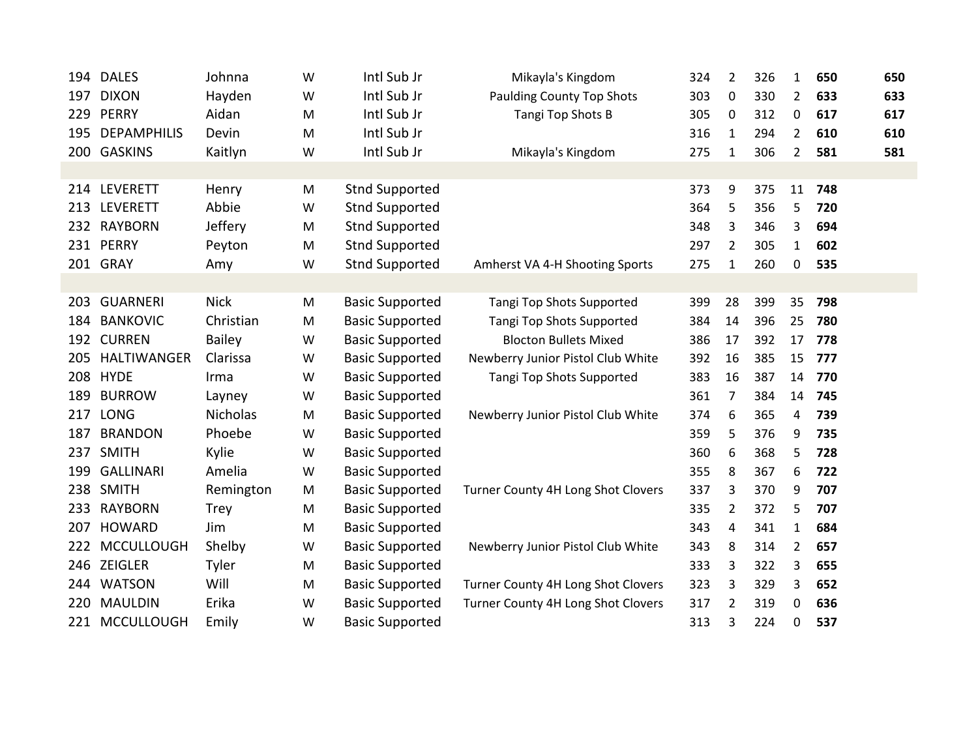| 194 | <b>DALES</b>       | Johnna          | W | Intl Sub Jr            | Mikayla's Kingdom                  | 324 | $\overline{2}$ | 326 | 1              | 650 | 650 |
|-----|--------------------|-----------------|---|------------------------|------------------------------------|-----|----------------|-----|----------------|-----|-----|
| 197 | <b>DIXON</b>       | Hayden          | W | Intl Sub Jr            | <b>Paulding County Top Shots</b>   | 303 | $\mathbf 0$    | 330 | $\overline{2}$ | 633 | 633 |
| 229 | <b>PERRY</b>       | Aidan           | M | Intl Sub Jr            | Tangi Top Shots B                  | 305 | 0              | 312 | 0              | 617 | 617 |
| 195 | <b>DEPAMPHILIS</b> | Devin           | M | Intl Sub Jr            |                                    | 316 | 1              | 294 | 2              | 610 | 610 |
|     | 200 GASKINS        | Kaitlyn         | W | Intl Sub Jr            | Mikayla's Kingdom                  | 275 | $\mathbf{1}$   | 306 | $\overline{2}$ | 581 | 581 |
|     |                    |                 |   |                        |                                    |     |                |     |                |     |     |
|     | 214 LEVERETT       | Henry           | M | <b>Stnd Supported</b>  |                                    | 373 | 9              | 375 | 11             | 748 |     |
| 213 | <b>LEVERETT</b>    | Abbie           | W | <b>Stnd Supported</b>  |                                    | 364 | 5              | 356 | 5              | 720 |     |
| 232 | <b>RAYBORN</b>     | Jeffery         | M | <b>Stnd Supported</b>  |                                    | 348 | 3              | 346 | 3              | 694 |     |
| 231 | <b>PERRY</b>       | Peyton          | M | <b>Stnd Supported</b>  |                                    | 297 | $\overline{2}$ | 305 | $\mathbf{1}$   | 602 |     |
|     | 201 GRAY           | Amy             | W | <b>Stnd Supported</b>  | Amherst VA 4-H Shooting Sports     | 275 | 1              | 260 | 0              | 535 |     |
|     |                    |                 |   |                        |                                    |     |                |     |                |     |     |
| 203 | <b>GUARNERI</b>    | <b>Nick</b>     | M | <b>Basic Supported</b> | Tangi Top Shots Supported          | 399 | 28             | 399 | 35             | 798 |     |
| 184 | <b>BANKOVIC</b>    | Christian       | M | <b>Basic Supported</b> | Tangi Top Shots Supported          | 384 | 14             | 396 | 25             | 780 |     |
| 192 | <b>CURREN</b>      | <b>Bailey</b>   | W | <b>Basic Supported</b> | <b>Blocton Bullets Mixed</b>       | 386 | 17             | 392 | 17             | 778 |     |
| 205 | <b>HALTIWANGER</b> | Clarissa        | W | <b>Basic Supported</b> | Newberry Junior Pistol Club White  | 392 | 16             | 385 | 15             | 777 |     |
| 208 | <b>HYDE</b>        | Irma            | W | <b>Basic Supported</b> | Tangi Top Shots Supported          | 383 | 16             | 387 | 14             | 770 |     |
| 189 | <b>BURROW</b>      | Layney          | W | <b>Basic Supported</b> |                                    | 361 | 7              | 384 | 14             | 745 |     |
| 217 | <b>LONG</b>        | <b>Nicholas</b> | M | <b>Basic Supported</b> | Newberry Junior Pistol Club White  | 374 | 6              | 365 | 4              | 739 |     |
| 187 | <b>BRANDON</b>     | Phoebe          | W | <b>Basic Supported</b> |                                    | 359 | 5              | 376 | 9              | 735 |     |
| 237 | <b>SMITH</b>       | Kylie           | W | <b>Basic Supported</b> |                                    | 360 | 6              | 368 | 5              | 728 |     |
| 199 | <b>GALLINARI</b>   | Amelia          | W | <b>Basic Supported</b> |                                    | 355 | 8              | 367 | 6              | 722 |     |
| 238 | <b>SMITH</b>       | Remington       | M | <b>Basic Supported</b> | Turner County 4H Long Shot Clovers | 337 | 3              | 370 | 9              | 707 |     |
| 233 | <b>RAYBORN</b>     | <b>Trey</b>     | M | <b>Basic Supported</b> |                                    | 335 | $\overline{2}$ | 372 | 5              | 707 |     |
| 207 | <b>HOWARD</b>      | Jim             | M | <b>Basic Supported</b> |                                    | 343 | 4              | 341 | $\mathbf{1}$   | 684 |     |
| 222 | <b>MCCULLOUGH</b>  | Shelby          | W | <b>Basic Supported</b> | Newberry Junior Pistol Club White  | 343 | 8              | 314 | $\overline{2}$ | 657 |     |
|     | 246 ZEIGLER        | Tyler           | M | <b>Basic Supported</b> |                                    | 333 | 3              | 322 | 3              | 655 |     |
| 244 | <b>WATSON</b>      | Will            | M | <b>Basic Supported</b> | Turner County 4H Long Shot Clovers | 323 | 3              | 329 | 3              | 652 |     |
| 220 | <b>MAULDIN</b>     | Erika           | W | <b>Basic Supported</b> | Turner County 4H Long Shot Clovers | 317 | 2              | 319 | 0              | 636 |     |
| 221 | <b>MCCULLOUGH</b>  | Emily           | W | <b>Basic Supported</b> |                                    | 313 | 3              | 224 | 0              | 537 |     |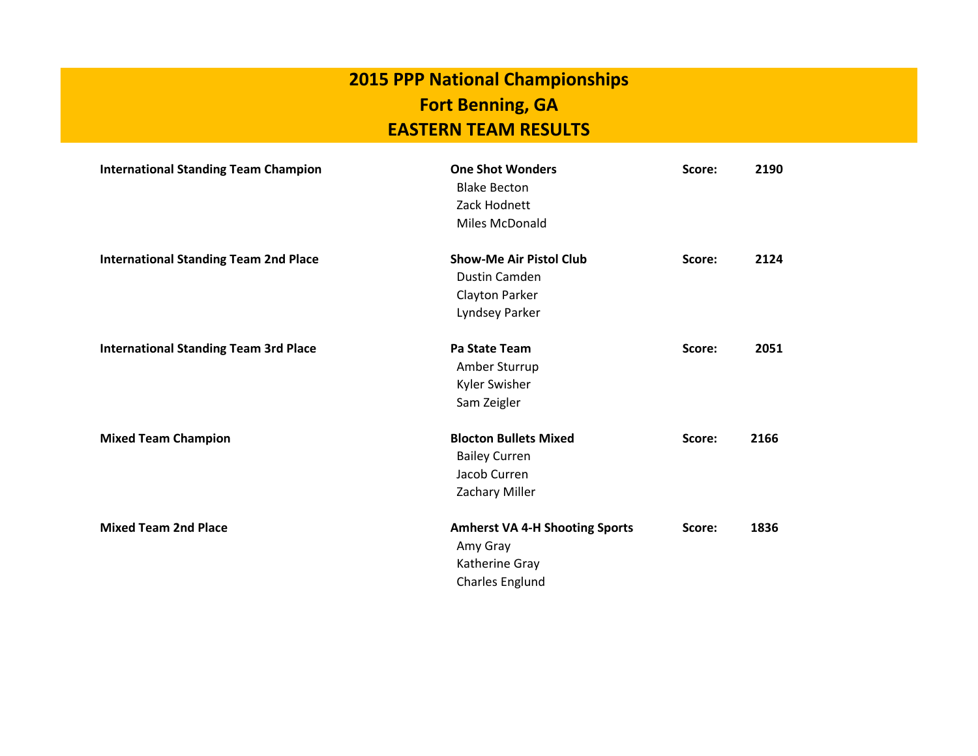## **EASTERN TEAM RESULTS 2015 PPP National Championships Fort Benning, GA**

| <b>International Standing Team Champion</b>  | <b>One Shot Wonders</b><br><b>Blake Becton</b><br>Zack Hodnett<br>Miles McDonald       | Score: | 2190 |
|----------------------------------------------|----------------------------------------------------------------------------------------|--------|------|
| <b>International Standing Team 2nd Place</b> | <b>Show-Me Air Pistol Club</b><br>Dustin Camden<br>Clayton Parker<br>Lyndsey Parker    | Score: | 2124 |
| <b>International Standing Team 3rd Place</b> | Pa State Team<br>Amber Sturrup<br><b>Kyler Swisher</b><br>Sam Zeigler                  | Score: | 2051 |
| <b>Mixed Team Champion</b>                   | <b>Blocton Bullets Mixed</b><br><b>Bailey Curren</b><br>Jacob Curren<br>Zachary Miller | Score: | 2166 |
| <b>Mixed Team 2nd Place</b>                  | <b>Amherst VA 4-H Shooting Sports</b><br>Amy Gray<br>Katherine Gray<br>Charles Englund | Score: | 1836 |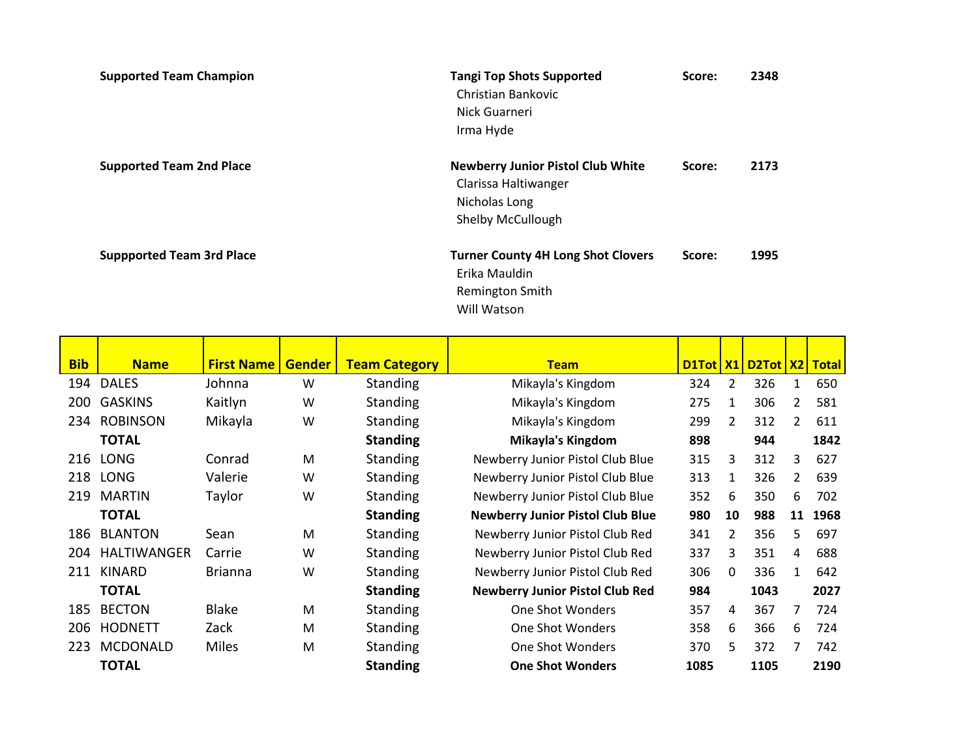| <b>Supported Team Champion</b>   | <b>Tangi Top Shots Supported</b><br>Christian Bankovic<br>Nick Guarneri<br>Irma Hyde                          | Score: | 2348 |
|----------------------------------|---------------------------------------------------------------------------------------------------------------|--------|------|
| <b>Supported Team 2nd Place</b>  | <b>Newberry Junior Pistol Club White</b><br>Clarissa Haltiwanger<br>Nicholas Long<br><b>Shelby McCullough</b> | Score: | 2173 |
| <b>Suppported Team 3rd Place</b> | <b>Turner County 4H Long Shot Clovers</b><br>Erika Mauldin<br>Remington Smith<br>Will Watson                  | Score: | 1995 |

| <b>Bib</b> | <b>Name</b>     | <b>First Name</b> | <b>Gender</b> | <b>Team Category</b> | <b>Team</b>                             |      |                | D1Tot   X1   D2Tot   X2   Total |              |      |
|------------|-----------------|-------------------|---------------|----------------------|-----------------------------------------|------|----------------|---------------------------------|--------------|------|
| 194        | <b>DALES</b>    | Johnna            | W             | Standing             | Mikayla's Kingdom                       | 324  | 2              | 326                             | $\mathbf{1}$ | 650  |
| 200        | <b>GASKINS</b>  | Kaitlyn           | W             | <b>Standing</b>      | Mikayla's Kingdom                       | 275  | 1              | 306                             | 2            | 581  |
| 234        | <b>ROBINSON</b> | Mikayla           | W             | <b>Standing</b>      | Mikayla's Kingdom                       | 299  | $\overline{2}$ | 312                             | 2            | 611  |
|            | <b>TOTAL</b>    |                   |               | <b>Standing</b>      | <b>Mikayla's Kingdom</b>                | 898  |                | 944                             |              | 1842 |
| 216        | <b>LONG</b>     | Conrad            | M             | <b>Standing</b>      | Newberry Junior Pistol Club Blue        | 315  | 3              | 312                             | 3            | 627  |
| 218        | <b>LONG</b>     | Valerie           | W             | <b>Standing</b>      | Newberry Junior Pistol Club Blue        | 313  | 1              | 326                             | 2            | 639  |
| 219        | <b>MARTIN</b>   | Taylor            | W             | Standing             | Newberry Junior Pistol Club Blue        | 352  | 6              | 350                             | 6            | 702  |
|            | <b>TOTAL</b>    |                   |               | <b>Standing</b>      | <b>Newberry Junior Pistol Club Blue</b> | 980  | 10             | 988                             | 11           | 1968 |
| 186        | <b>BLANTON</b>  | Sean              | M             | <b>Standing</b>      | Newberry Junior Pistol Club Red         | 341  | 2              | 356                             | 5.           | 697  |
| 204        | HALTIWANGER     | Carrie            | W             | <b>Standing</b>      | Newberry Junior Pistol Club Red         | 337  | 3              | 351                             | 4            | 688  |
| 211        | <b>KINARD</b>   | <b>Brianna</b>    | W             | <b>Standing</b>      | Newberry Junior Pistol Club Red         | 306  | $\Omega$       | 336                             | $\mathbf{1}$ | 642  |
|            | <b>TOTAL</b>    |                   |               | <b>Standing</b>      | <b>Newberry Junior Pistol Club Red</b>  | 984  |                | 1043                            |              | 2027 |
| 185        | <b>BECTON</b>   | <b>Blake</b>      | M             | <b>Standing</b>      | One Shot Wonders                        | 357  | 4              | 367                             | 7            | 724  |
| 206        | <b>HODNETT</b>  | Zack              | M             | <b>Standing</b>      | One Shot Wonders                        | 358  | 6              | 366                             | 6            | 724  |
| 223        | <b>MCDONALD</b> | <b>Miles</b>      | M             | <b>Standing</b>      | One Shot Wonders                        | 370  | 5              | 372                             |              | 742  |
|            | <b>TOTAL</b>    |                   |               | <b>Standing</b>      | <b>One Shot Wonders</b>                 | 1085 |                | 1105                            |              | 2190 |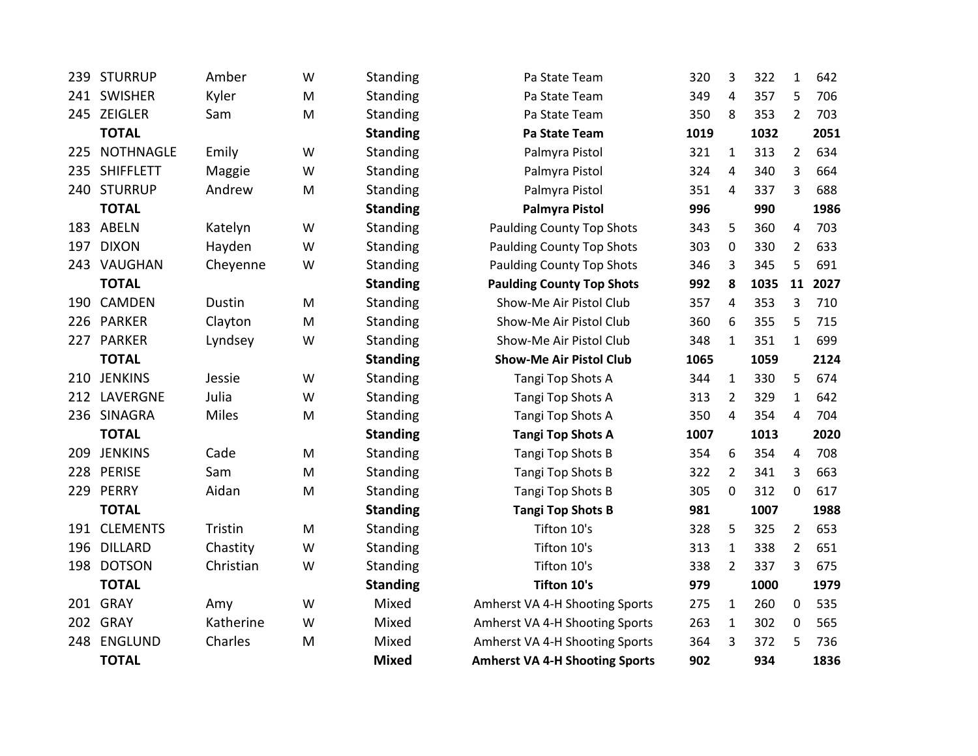| 239 | <b>STURRUP</b>   | Amber        | W         | <b>Standing</b> | Pa State Team                         | 320  | 3              | 322  | $\mathbf{1}$            | 642  |
|-----|------------------|--------------|-----------|-----------------|---------------------------------------|------|----------------|------|-------------------------|------|
|     | 241 SWISHER      | Kyler        | M         | Standing        | Pa State Team                         | 349  | 4              | 357  | 5                       | 706  |
|     | 245 ZEIGLER      | Sam          | M         | <b>Standing</b> | Pa State Team                         | 350  | 8              | 353  | $\overline{2}$          | 703  |
|     | <b>TOTAL</b>     |              |           | <b>Standing</b> | Pa State Team                         | 1019 |                | 1032 |                         | 2051 |
| 225 | <b>NOTHNAGLE</b> | Emily        | W         | Standing        | Palmyra Pistol                        | 321  | $\mathbf{1}$   | 313  | $\overline{2}$          | 634  |
| 235 | <b>SHIFFLETT</b> | Maggie       | W         | Standing        | Palmyra Pistol                        | 324  | 4              | 340  | 3                       | 664  |
|     | 240 STURRUP      | Andrew       | M         | Standing        | Palmyra Pistol                        | 351  | $\overline{4}$ | 337  | 3                       | 688  |
|     | <b>TOTAL</b>     |              |           | <b>Standing</b> | <b>Palmyra Pistol</b>                 | 996  |                | 990  |                         | 1986 |
|     | 183 ABELN        | Katelyn      | W         | Standing        | <b>Paulding County Top Shots</b>      | 343  | 5              | 360  | 4                       | 703  |
| 197 | <b>DIXON</b>     | Hayden       | W         | Standing        | <b>Paulding County Top Shots</b>      | 303  | 0              | 330  | $\overline{2}$          | 633  |
|     | 243 VAUGHAN      | Cheyenne     | W         | Standing        | <b>Paulding County Top Shots</b>      | 346  | 3              | 345  | 5                       | 691  |
|     | <b>TOTAL</b>     |              |           | <b>Standing</b> | <b>Paulding County Top Shots</b>      | 992  | 8              | 1035 | 11                      | 2027 |
|     | 190 CAMDEN       | Dustin       | M         | Standing        | Show-Me Air Pistol Club               | 357  | 4              | 353  | 3                       | 710  |
|     | 226 PARKER       | Clayton      | M         | Standing        | Show-Me Air Pistol Club               | 360  | 6              | 355  | 5                       | 715  |
|     | 227 PARKER       | Lyndsey      | W         | Standing        | Show-Me Air Pistol Club               | 348  | $\mathbf{1}$   | 351  | $\mathbf{1}$            | 699  |
|     | <b>TOTAL</b>     |              |           | <b>Standing</b> | <b>Show-Me Air Pistol Club</b>        | 1065 |                | 1059 |                         | 2124 |
| 210 | <b>JENKINS</b>   | Jessie       | W         | Standing        | Tangi Top Shots A                     | 344  | $\mathbf{1}$   | 330  | 5                       | 674  |
| 212 | LAVERGNE         | Julia        | W         | Standing        | Tangi Top Shots A                     | 313  | $\overline{2}$ | 329  | $\mathbf{1}$            | 642  |
|     | 236 SINAGRA      | <b>Miles</b> | M         | Standing        | Tangi Top Shots A                     | 350  | $\overline{4}$ | 354  | 4                       | 704  |
|     | <b>TOTAL</b>     |              |           | <b>Standing</b> | <b>Tangi Top Shots A</b>              | 1007 |                | 1013 |                         | 2020 |
| 209 | <b>JENKINS</b>   | Cade         | ${\sf M}$ | Standing        | Tangi Top Shots B                     | 354  | 6              | 354  | $\overline{\mathbf{4}}$ | 708  |
|     | 228 PERISE       | Sam          | M         | Standing        | Tangi Top Shots B                     | 322  | $\overline{2}$ | 341  | 3                       | 663  |
| 229 | PERRY            | Aidan        | M         | Standing        | Tangi Top Shots B                     | 305  | 0              | 312  | $\mathbf 0$             | 617  |
|     | <b>TOTAL</b>     |              |           | <b>Standing</b> | <b>Tangi Top Shots B</b>              | 981  |                | 1007 |                         | 1988 |
|     | 191 CLEMENTS     | Tristin      | M         | Standing        | Tifton 10's                           | 328  | 5              | 325  | $\overline{2}$          | 653  |
| 196 | <b>DILLARD</b>   | Chastity     | W         | Standing        | Tifton 10's                           | 313  | $\mathbf{1}$   | 338  | $\overline{2}$          | 651  |
| 198 | <b>DOTSON</b>    | Christian    | W         | Standing        | Tifton 10's                           | 338  | $\overline{2}$ | 337  | 3                       | 675  |
|     | <b>TOTAL</b>     |              |           | <b>Standing</b> | <b>Tifton 10's</b>                    | 979  |                | 1000 |                         | 1979 |
|     | 201 GRAY         | Amy          | W         | Mixed           | Amherst VA 4-H Shooting Sports        | 275  | $\mathbf{1}$   | 260  | 0                       | 535  |
| 202 | GRAY             | Katherine    | W         | Mixed           | Amherst VA 4-H Shooting Sports        | 263  | $\mathbf{1}$   | 302  | $\mathbf 0$             | 565  |
| 248 | <b>ENGLUND</b>   | Charles      | M         | Mixed           | Amherst VA 4-H Shooting Sports        | 364  | 3              | 372  | 5                       | 736  |
|     | <b>TOTAL</b>     |              |           | <b>Mixed</b>    | <b>Amherst VA 4-H Shooting Sports</b> | 902  |                | 934  |                         | 1836 |